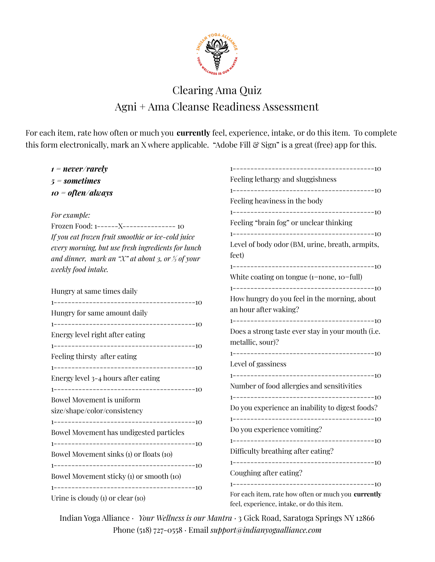

## Clearing Ama Quiz Agni + Ama Cleanse Readiness Assessment

For each item, rate how often or much you **currently** feel, experience, intake, or do this item. To complete this form electronically, mark an X where applicable. "Adobe Fill & Sign" is a great (free) app for this.

| $t = never / rarely$                                                                                                                                                                                          |                                                                       |
|---------------------------------------------------------------------------------------------------------------------------------------------------------------------------------------------------------------|-----------------------------------------------------------------------|
| $5 =$ sometimes                                                                                                                                                                                               | Feeling lethargy and sluggishness                                     |
| $10 =$ often/always                                                                                                                                                                                           | Feeling heaviness in the body                                         |
| For example:                                                                                                                                                                                                  |                                                                       |
| Frozen Food: 1------X---------------- 10                                                                                                                                                                      | Feeling "brain fog" or unclear thinking                               |
| If you eat frozen fruit smoothie or ice-cold juice<br>every morning, but use fresh ingredients for lunch<br>and dinner, mark an " $\mathcal{X}$ " at about 3, or $\frac{1}{3}$ of your<br>weekly food intake. | Level of body odor (BM, urine, breath, armpits,<br>feet)              |
|                                                                                                                                                                                                               | White coating on tongue (1=none, 10=full)                             |
| Hungry at same times daily                                                                                                                                                                                    |                                                                       |
|                                                                                                                                                                                                               | How hungry do you feel in the morning, about                          |
| Hungry for same amount daily                                                                                                                                                                                  | an hour after waking?                                                 |
| Energy level right after eating                                                                                                                                                                               | Does a strong taste ever stay in your mouth (i.e.<br>metallic, sour)? |
| Feeling thirsty after eating                                                                                                                                                                                  |                                                                       |
|                                                                                                                                                                                                               | Level of gassiness                                                    |
| Energy level 3-4 hours after eating                                                                                                                                                                           |                                                                       |
|                                                                                                                                                                                                               | Number of food allergies and sensitivities                            |
| <b>Bowel Movement is uniform</b><br>size/shape/color/consistency                                                                                                                                              | Do you experience an inability to digest foods?                       |
|                                                                                                                                                                                                               | Do you experience vomiting?                                           |
| Bowel Movement has undigested particles                                                                                                                                                                       |                                                                       |
|                                                                                                                                                                                                               | Difficulty breathing after eating?                                    |
| Bowel Movement sinks (1) or floats (10)                                                                                                                                                                       |                                                                       |
|                                                                                                                                                                                                               | Coughing after eating?                                                |
| Bowel Movement sticky (1) or smooth (10)                                                                                                                                                                      |                                                                       |
|                                                                                                                                                                                                               | For each item, rate how often or much you currently                   |
| Urine is cloudy $(i)$ or clear $(i)$                                                                                                                                                                          | feel, experience, intake, or do this item.                            |

Indian Yoga Alliance · *Your Wellness is our Mantra* · 3 Gick Road, Saratoga Springs NY 12866 Phone (518) 727-0558 · Email *support@indianyogaalliance.com*